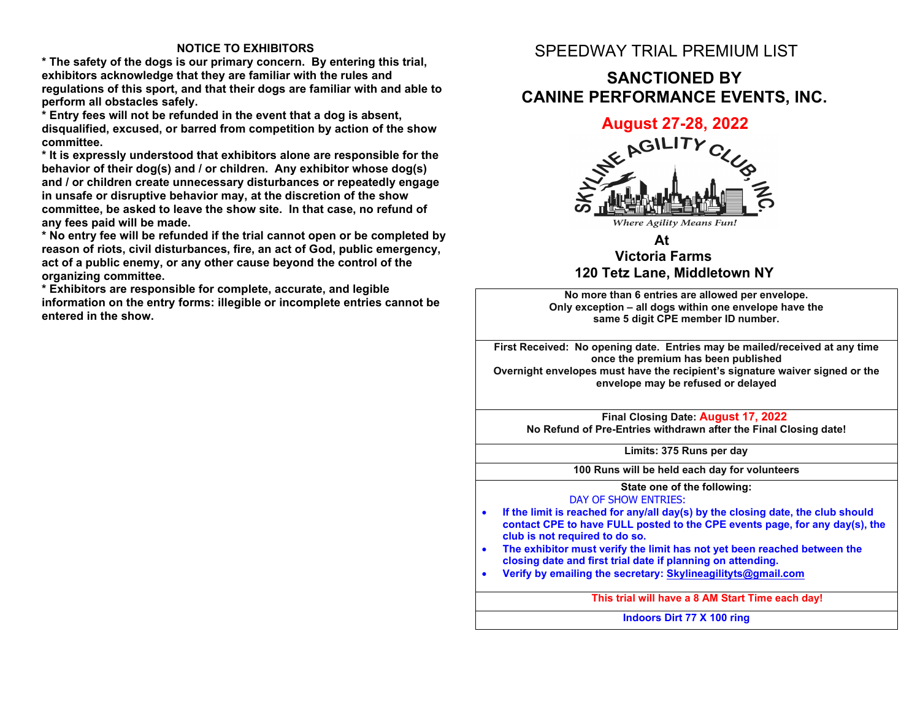#### **NOTICE TO EXHIBITORS**

**\* The safety of the dogs is our primary concern. By entering this trial, exhibitors acknowledge that they are familiar with the rules and regulations of this sport, and that their dogs are familiar with and able to perform all obstacles safely.**

**\* Entry fees will not be refunded in the event that a dog is absent, disqualified, excused, or barred from competition by action of the show committee.**

**\* It is expressly understood that exhibitors alone are responsible for the behavior of their dog(s) and / or children. Any exhibitor whose dog(s) and / or children create unnecessary disturbances or repeatedly engage in unsafe or disruptive behavior may, at the discretion of the show committee, be asked to leave the show site. In that case, no refund of any fees paid will be made.**

**\* No entry fee will be refunded if the trial cannot open or be completed by reason of riots, civil disturbances, fire, an act of God, public emergency, act of a public enemy, or any other cause beyond the control of the organizing committee.**

**\* Exhibitors are responsible for complete, accurate, and legible information on the entry forms: illegible or incomplete entries cannot be entered in the show.**

### SPEEDWAY TRIAL PREMIUM LIST

### **SANCTIONED BY CANINE PERFORMANCE EVENTS, INC.**



#### **At Victoria Farms 120 Tetz Lane, Middletown NY**

**No more than 6 entries are allowed per envelope. Only exception – all dogs within one envelope have the same 5 digit CPE member ID number.**

**First Received: No opening date. Entries may be mailed/received at any time once the premium has been published Overnight envelopes must have the recipient's signature waiver signed or the envelope may be refused or delayed**

**Final Closing Date: August 17, 2022 No Refund of Pre-Entries withdrawn after the Final Closing date!**

**Limits: 375 Runs per day** 

**100 Runs will be held each day for volunteers**

**State one of the following:** DAY OF SHOW ENTRIES:

- **If the limit is reached for any/all day(s) by the closing date, the club should contact CPE to have FULL posted to the CPE events page, for any day(s), the club is not required to do so.**
- **The exhibitor must verify the limit has not yet been reached between the closing date and first trial date if planning on attending.**
- **Verify by emailing the secretary: Skylineagilityts@gmail.com**

**This trial will have a 8 AM Start Time each day!**

**Indoors Dirt 77 X 100 ring**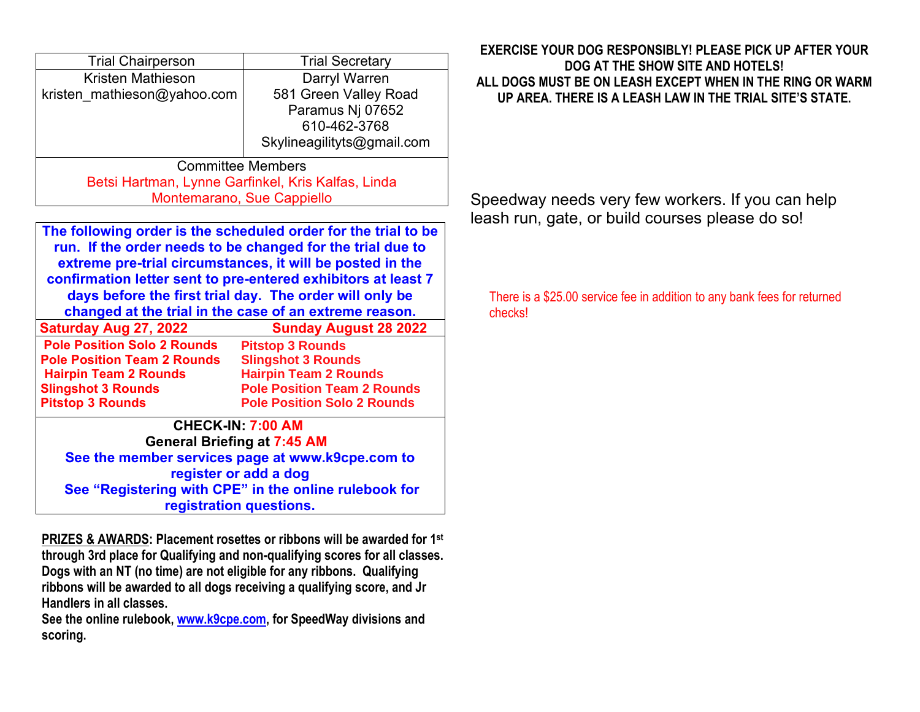| <b>Trial Chairperson</b>                           | <b>Trial Secretary</b>     |  |  |  |
|----------------------------------------------------|----------------------------|--|--|--|
| Kristen Mathieson                                  | Darryl Warren              |  |  |  |
| kristen mathieson@yahoo.com                        | 581 Green Valley Road      |  |  |  |
|                                                    | Paramus Nj 07652           |  |  |  |
|                                                    | 610-462-3768               |  |  |  |
|                                                    | Skylineagilityts@gmail.com |  |  |  |
| <b>Committee Members</b>                           |                            |  |  |  |
| Betsi Hartman, Lynne Garfinkel, Kris Kalfas, Linda |                            |  |  |  |
| Montemarano, Sue Cappiello                         |                            |  |  |  |

**The following order is the scheduled order for the trial to be run. If the order needs to be changed for the trial due to extreme pre-trial circumstances, it will be posted in the confirmation letter sent to pre-entered exhibitors at least 7 days before the first trial day. The order will only be changed at the trial in the case of an extreme reason. Saturday Aug 27, 2022 Sunday August 28 2022 Pitstop 3 Rounds Pole Position Solo 2 Rounds Pole Position Team 2 Rounds**

**CHECK-IN: 7:00 AM General Briefing at 7:45 AM See the member services page at www.k9cpe.com to Slingshot 3 Rounds Hairpin Team 2 Rounds Pole Position Team 2 Rounds Pole Position Solo 2 Rounds Hairpin Team 2 Rounds Slingshot 3 Rounds Pitstop 3 Rounds**

**register or add a dog See "Registering with CPE" in the online rulebook for registration questions.**

**PRIZES & AWARDS: Placement rosettes or ribbons will be awarded for 1st through 3rd place for Qualifying and non-qualifying scores for all classes. Dogs with an NT (no time) are not eligible for any ribbons. Qualifying ribbons will be awarded to all dogs receiving a qualifying score, and Jr Handlers in all classes.** 

**See the online rulebook, www.k9cpe.com, for SpeedWay divisions and scoring.**

### **EXERCISE YOUR DOG RESPONSIBLY! PLEASE PICK UP AFTER YOUR DOG AT THE SHOW SITE AND HOTELS! ALL DOGS MUST BE ON LEASH EXCEPT WHEN IN THE RING OR WARM UP AREA. THERE IS A LEASH LAW IN THE TRIAL SITE'S STATE.**

Speedway needs very few workers. If you can help leash run, gate, or build courses please do so!

There is a \$25.00 service fee in addition to any bank fees for returned checks!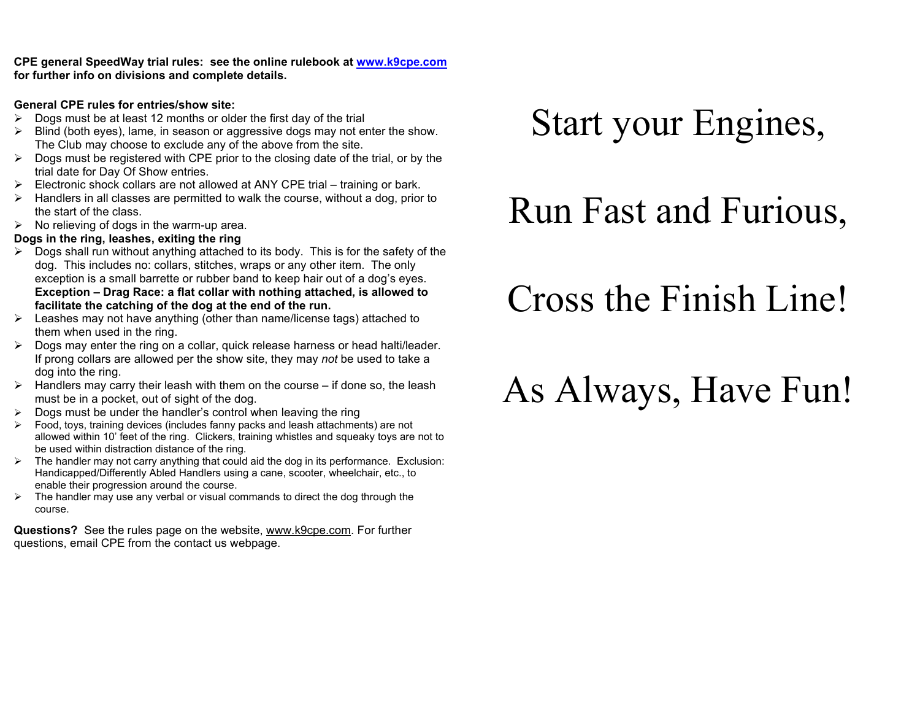**CPE general SpeedWay trial rules: see the online rulebook at www.k9cpe.com for further info on divisions and complete details.**

#### **General CPE rules for entries/show site:**

- $\triangleright$  Dogs must be at least 12 months or older the first day of the trial
- $\triangleright$  Blind (both eyes), lame, in season or aggressive dogs may not enter the show. The Club may choose to exclude any of the above from the site.
- $\triangleright$  Dogs must be registered with CPE prior to the closing date of the trial, or by the trial date for Day Of Show entries.
- $\triangleright$  Electronic shock collars are not allowed at ANY CPE trial training or bark.
- $\triangleright$  Handlers in all classes are permitted to walk the course, without a dog, prior to the start of the class.
- $\triangleright$  No relieving of dogs in the warm-up area.

### **Dogs in the ring, leashes, exiting the ring**

- $\triangleright$  Dogs shall run without anything attached to its body. This is for the safety of the dog. This includes no: collars, stitches, wraps or any other item. The only exception is a small barrette or rubber band to keep hair out of a dog's eyes. **Exception – Drag Race: a flat collar with nothing attached, is allowed to facilitate the catching of the dog at the end of the run.**
- $\triangleright$  Leashes may not have anything (other than name/license tags) attached to them when used in the ring.
- $\triangleright$  Dogs may enter the ring on a collar, quick release harness or head halti/leader. If prong collars are allowed per the show site, they may *not* be used to take a dog into the ring.
- $\triangleright$  Handlers may carry their leash with them on the course if done so, the leash must be in a pocket, out of sight of the dog.
- $\geq$  Dogs must be under the handler's control when leaving the ring
- Food, toys, training devices (includes fanny packs and leash attachments) are not allowed within 10' feet of the ring. Clickers, training whistles and squeaky toys are not to be used within distraction distance of the ring.
- $\triangleright$  The handler may not carry anything that could aid the dog in its performance. Exclusion: Handicapped/Differently Abled Handlers using a cane, scooter, wheelchair, etc., to enable their progression around the course.
- $\triangleright$  The handler may use any verbal or visual commands to direct the dog through the course.

**Questions?** See the rules page on the website, www.k9cpe.com. For further questions, email CPE from the contact us webpage.

# Start your Engines,

## Run Fast and Furious,

## Cross the Finish Line!

# As Always, Have Fun!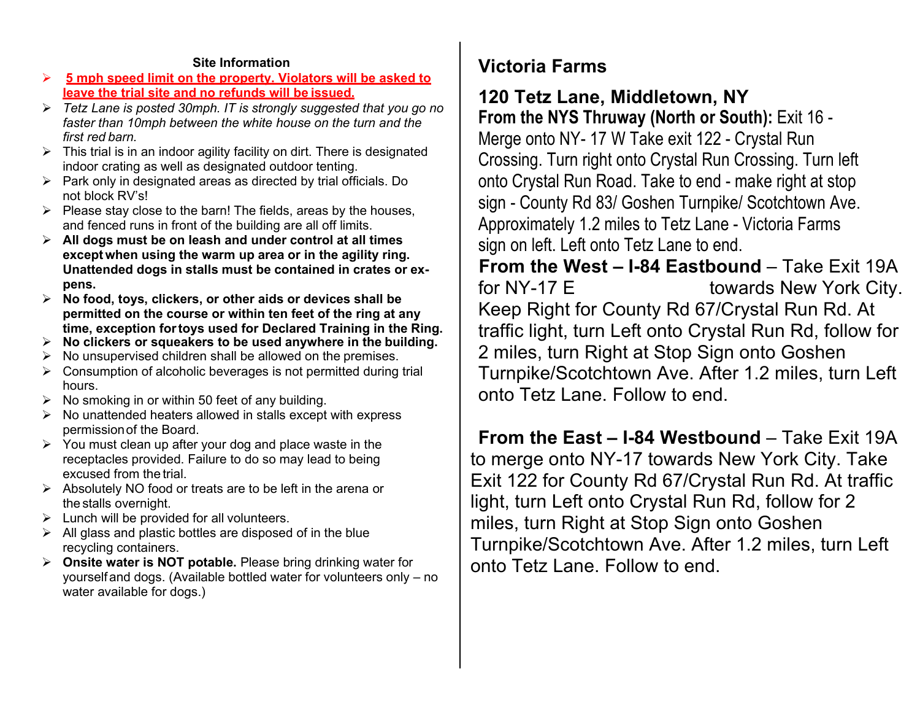#### **Site Information**

- **5 mph speed limit on the property. Violators will be asked to leave the trial site and no refunds will be issued.**
- *Tetz Lane is posted 30mph. IT is strongly suggested that you go no faster than 10mph between the white house on the turn and the first red barn.*
- $\triangleright$  This trial is in an indoor agility facility on dirt. There is designated indoor crating as well as designated outdoor tenting.
- $\triangleright$  Park only in designated areas as directed by trial officials. Do not block RV's!
- $\triangleright$  Please stay close to the barn! The fields, areas by the houses, and fenced runs in front of the building are all off limits.
- **All dogs must be on leash and under control at all times except when using the warm up area or in the agility ring. Unattended dogs in stalls must be contained in crates or expens.**
- **No food, toys, clickers, or other aids or devices shall be permitted on the course or within ten feet of the ring at any time, exception fortoys used for Declared Training in the Ring.**
- **No clickers or squeakers to be used anywhere in the building.**
- $\triangleright$  No unsupervised children shall be allowed on the premises.
- $\triangleright$  Consumption of alcoholic beverages is not permitted during trial hours.
- $\triangleright$  No smoking in or within 50 feet of any building.
- $\triangleright$  No unattended heaters allowed in stalls except with express permissionof the Board.
- $\triangleright$  You must clean up after your dog and place waste in the receptacles provided. Failure to do so may lead to being excused from the trial.
- Absolutely NO food or treats are to be left in the arena or the stalls overnight.
- $\triangleright$  Lunch will be provided for all volunteers.
- $\triangleright$  All glass and plastic bottles are disposed of in the blue recycling containers.
- **Onsite water is NOT potable.** Please bring drinking water for yourselfand dogs. (Available bottled water for volunteers only – no water available for dogs.)

## **Victoria Farms**

### **120 Tetz Lane, Middletown, NY**

**From the NYS Thruway (North or South):** Exit 16 - Merge onto NY- 17 W Take exit 122 - Crystal Run Crossing. Turn right onto Crystal Run Crossing. Turn left onto Crystal Run Road. Take to end - make right at stop sign - County Rd 83/ Goshen Turnpike/ Scotchtown Ave. Approximately 1.2 miles to Tetz Lane - Victoria Farms sign on left. Left onto Tetz Lane to end.

**From the West – I-84 Eastbound** – Take Exit 19A for NY-17 E towards New York City. Keep Right for County Rd 67/Crystal Run Rd. At traffic light, turn Left onto Crystal Run Rd, follow for 2 miles, turn Right at Stop Sign onto Goshen Turnpike/Scotchtown Ave. After 1.2 miles, turn Left onto Tetz Lane. Follow to end.

**From the East – I-84 Westbound** – Take Exit 19A to merge onto NY-17 towards New York City. Take Exit 122 for County Rd 67/Crystal Run Rd. At traffic light, turn Left onto Crystal Run Rd, follow for 2 miles, turn Right at Stop Sign onto Goshen Turnpike/Scotchtown Ave. After 1.2 miles, turn Left onto Tetz Lane. Follow to end.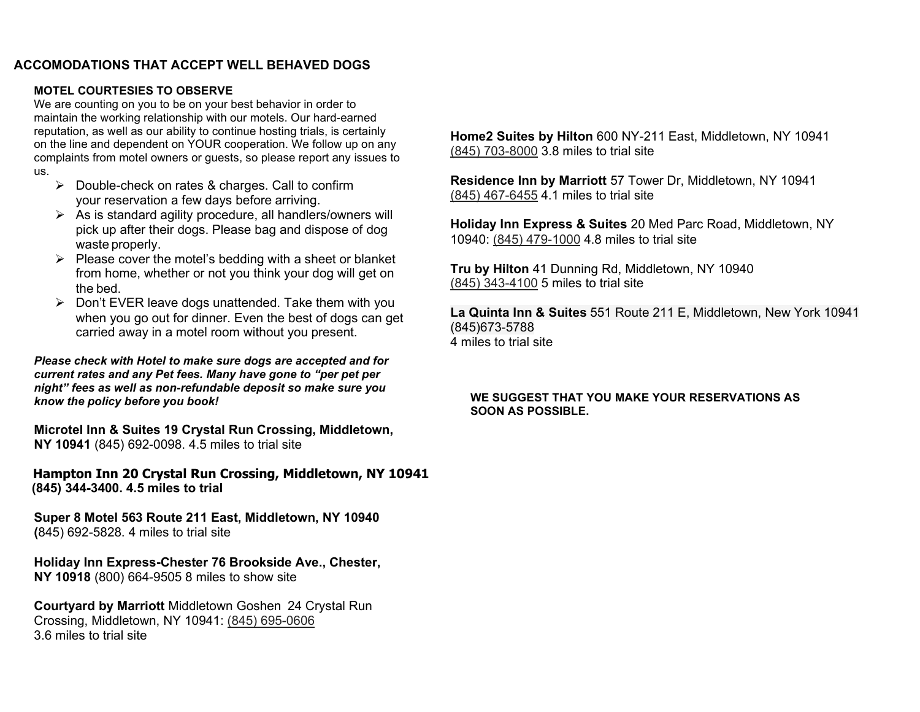#### **ACCOMODATIONS THAT ACCEPT WELL BEHAVED DOGS**

#### **MOTEL COURTESIES TO OBSERVE**

We are counting on you to be on your best behavior in order to maintain the working relationship with our motels. Our hard-earned reputation, as well as our ability to continue hosting trials, is certainly on the line and dependent on YOUR cooperation. We follow up on any complaints from motel owners or guests, so please report any issues to us.

- $\triangleright$  Double-check on rates & charges. Call to confirm your reservation a few days before arriving.
- $\triangleright$  As is standard agility procedure, all handlers/owners will pick up after their dogs. Please bag and dispose of dog waste properly.
- $\triangleright$  Please cover the motel's bedding with a sheet or blanket from home, whether or not you think your dog will get on the bed.
- $\triangleright$  Don't EVER leave dogs unattended. Take them with you when you go out for dinner. Even the best of dogs can get carried away in a motel room without you present.

*Please check with Hotel to make sure dogs are accepted and for current rates and any Pet fees. Many have gone to "per pet per night" fees as well as non-refundable deposit so make sure you know the policy before you book!* 

**Microtel Inn & Suites 19 Crystal Run Crossing, Middletown, NY 10941** (845) 692-0098. 4.5 miles to trial site

**Hampton Inn 20 Crystal Run Crossing, Middletown, NY 10941 (845) 344-3400. 4.5 miles to trial**

**Super 8 Motel 563 Route 211 East, Middletown, NY 10940 (**845) 692-5828. 4 miles to trial site

**Holiday Inn Express-Chester 76 Brookside Ave., Chester, NY 10918** (800) 664-9505 8 miles to show site

**Courtyard by Marriott** Middletown Goshen 24 Crystal Run Crossing, Middletown, NY 10941: (845) 695-0606 3.6 miles to trial site

**Home2 Suites by Hilton** 600 NY-211 East, Middletown, NY 10941 (845) 703-8000 3.8 miles to trial site

**Residence Inn by Marriott** 57 Tower Dr, Middletown, NY 10941 (845) 467-6455 4.1 miles to trial site

**Holiday Inn Express & Suites** 20 Med Parc Road, Middletown, NY 10940: (845) 479-1000 4.8 miles to trial site

**Tru by Hilton** 41 Dunning Rd, Middletown, NY 10940 (845) 343-4100 5 miles to trial site

**La Quinta Inn & Suites** 551 Route 211 E, Middletown, New York 10941 (845)673-5788 4 miles to trial site

#### **WE SUGGEST THAT YOU MAKE YOUR RESERVATIONS AS SOON AS POSSIBLE.**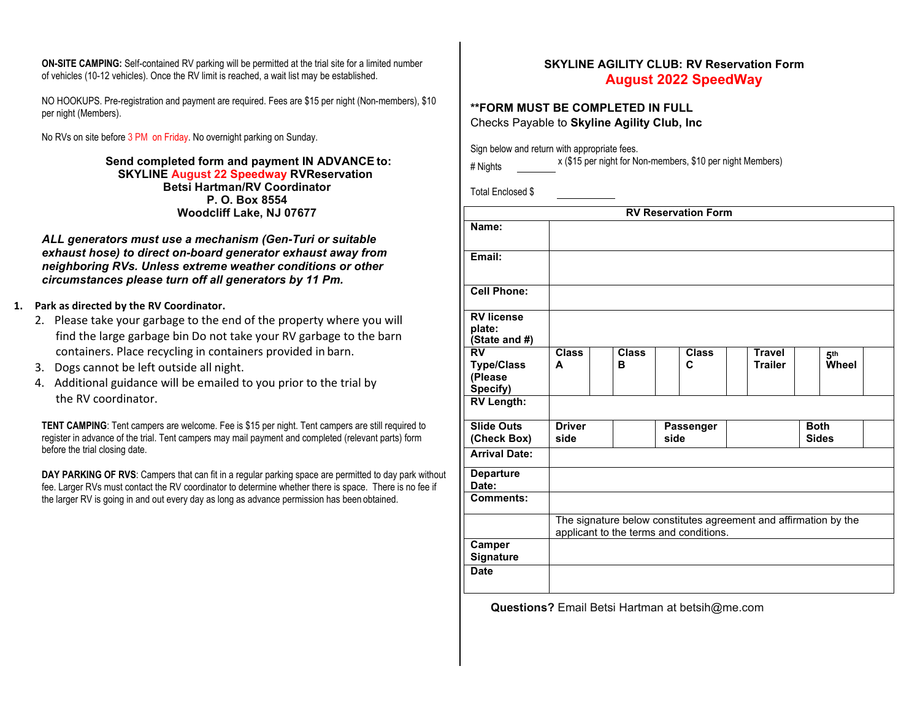**ON-SITE CAMPING:** Self-contained RV parking will be permitted at the trial site for a limited number of vehicles (10-12 vehicles). Once the RV limit is reached, a wait list may be established.

NO HOOKUPS. Pre-registration and payment are required. Fees are \$15 per night (Non-members), \$10 per night (Members).

No RVs on site before 3 PM on Friday. No overnight parking on Sunday.

**Send completed form and payment IN ADVANCE to: SKYLINE August 22 Speedway RVReservation Betsi Hartman/RV Coordinator P. O. Box 8554 Woodcliff Lake, NJ 07677**

*ALL generators must use a mechanism (Gen-Turi or suitable exhaust hose) to direct on-board generator exhaust away from neighboring RVs. Unless extreme weather conditions or other circumstances please turn off all generators by 11 Pm.*

- **1. Park as directed by the RV Coordinator.**
	- find the large garbage bin Do not take your RV garbage to the barn 2. Please take your garbage to the end of the property where you will containers. Place recycling in containers provided in barn.
	- 3. Dogs cannot be left outside all night.
	- 4. Additional guidance will be emailed to you prior to the trial by the RV coordinator.

**TENT CAMPING**: Tent campers are welcome. Fee is \$15 per night. Tent campers are still required to register in advance of the trial. Tent campers may mail payment and completed (relevant parts) form before the trial closing date.

**DAY PARKING OF RVS**: Campers that can fit in a regular parking space are permitted to day park without fee. Larger RVs must contact the RV coordinator to determine whether there is space. There is no fee if the larger RV is going in and out every day as long as advance permission has been obtained.

#### **SKYLINE AGILITY CLUB: RV Reservation Form August 2022 SpeedWay**

#### **\*\*FORM MUST BE COMPLETED IN FULL** Checks Payable to **Skyline Agility Club, Inc**

Sign below and return with appropriate fees.

Total Enclosed \$

| <b>RV Reservation Form</b>                                                                                 |                       |                   |                   |                                 |                             |  |
|------------------------------------------------------------------------------------------------------------|-----------------------|-------------------|-------------------|---------------------------------|-----------------------------|--|
| Name:                                                                                                      |                       |                   |                   |                                 |                             |  |
| Email:                                                                                                     |                       |                   |                   |                                 |                             |  |
| <b>Cell Phone:</b>                                                                                         |                       |                   |                   |                                 |                             |  |
| <b>RV</b> license<br>plate:<br>(State and #)                                                               |                       |                   |                   |                                 |                             |  |
| <b>RV</b><br><b>Type/Class</b><br>(Please<br>Specify)                                                      | <b>Class</b><br>A     | <b>Class</b><br>в | <b>Class</b><br>C | <b>Travel</b><br><b>Trailer</b> | 5 <sup>th</sup><br>Wheel    |  |
| <b>RV Length:</b>                                                                                          |                       |                   |                   |                                 |                             |  |
| <b>Slide Outs</b><br>(Check Box)                                                                           | <b>Driver</b><br>side |                   | Passenger<br>side |                                 | <b>Both</b><br><b>Sides</b> |  |
| <b>Arrival Date:</b>                                                                                       |                       |                   |                   |                                 |                             |  |
| <b>Departure</b><br>Date:                                                                                  |                       |                   |                   |                                 |                             |  |
| <b>Comments:</b>                                                                                           |                       |                   |                   |                                 |                             |  |
| The signature below constitutes agreement and affirmation by the<br>applicant to the terms and conditions. |                       |                   |                   |                                 |                             |  |
| Camper<br>Signature                                                                                        |                       |                   |                   |                                 |                             |  |
| <b>Date</b>                                                                                                |                       |                   |                   |                                 |                             |  |

**Questions?** Email Betsi Hartman at betsih@me.com